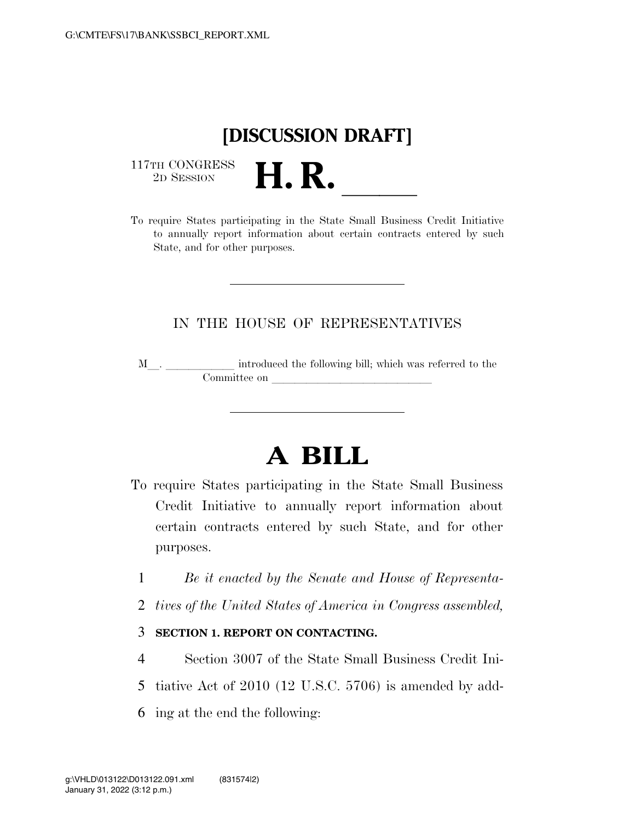## **[DISCUSSION DRAFT]**

 $\begin{array}{c} \text{117TH CONGRESS} \\ \text{2D Session} \end{array}$ 



## IN THE HOUSE OF REPRESENTATIVES

M<sub>\_\_\_</sub>. \_\_\_\_\_\_\_\_\_\_\_\_\_\_ introduced the following bill; which was referred to the  $\noindent \begin{tabular}{c} \multicolumn{1}{c}{} \multicolumn{1}{c}{} \multicolumn{1}{c}{} \multicolumn{1}{c}{} \multicolumn{1}{c}{} \multicolumn{1}{c}{} \multicolumn{1}{c}{} \multicolumn{1}{c}{} \multicolumn{1}{c}{} \multicolumn{1}{c}{} \multicolumn{1}{c}{} \multicolumn{1}{c}{} \multicolumn{1}{c}{} \multicolumn{1}{c}{} \multicolumn{1}{c}{} \multicolumn{1}{c}{} \multicolumn{1}{c}{} \multicolumn{1}{c}{} \multicolumn{1}{c}{} \multicolumn{1}{c}{} \multicolumn{1}{c}$ 

## **A BILL**

- To require States participating in the State Small Business Credit Initiative to annually report information about certain contracts entered by such State, and for other purposes.
	- 1 *Be it enacted by the Senate and House of Representa-*
	- 2 *tives of the United States of America in Congress assembled,*

## 3 **SECTION 1. REPORT ON CONTACTING.**

- 4 Section 3007 of the State Small Business Credit Ini-
- 5 tiative Act of 2010 (12 U.S.C. 5706) is amended by add-
- 6 ing at the end the following: